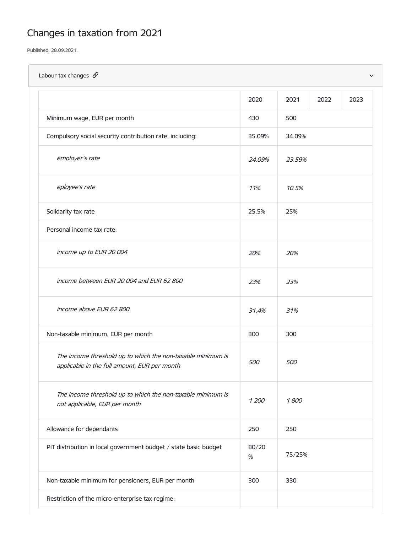# Changes in taxation from 2021

Published: 28.09.2021.

| Labour tax changes $\mathcal{S}$                                                                            |               |        |      | $\checkmark$ |
|-------------------------------------------------------------------------------------------------------------|---------------|--------|------|--------------|
|                                                                                                             | 2020          | 2021   | 2022 | 2023         |
| Minimum wage, EUR per month                                                                                 | 430           | 500    |      |              |
| Compulsory social security contribution rate, including:                                                    | 35.09%        | 34.09% |      |              |
| employer's rate                                                                                             | 24.09%        | 23.59% |      |              |
| eployee's rate                                                                                              | 11%           | 10.5%  |      |              |
| Solidarity tax rate                                                                                         | 25.5%         | 25%    |      |              |
| Personal income tax rate:                                                                                   |               |        |      |              |
| income up to EUR 20 004                                                                                     | 20%           | 20%    |      |              |
| income between EUR 20 004 and EUR 62 800                                                                    | 23%           | 23%    |      |              |
| income above EUR 62 800                                                                                     | 31,4%         | 31%    |      |              |
| Non-taxable minimum, EUR per month                                                                          | 300           | 300    |      |              |
| The income threshold up to which the non-taxable minimum is<br>applicable in the full amount, EUR per month | 500           | 500    |      |              |
| The income threshold up to which the non-taxable minimum is<br>not applicable, EUR per month                | 1 200         | 1800   |      |              |
| Allowance for dependants                                                                                    | 250           | 250    |      |              |
| PIT distribution in local government budget / state basic budget                                            | 80/20<br>$\%$ | 75/25% |      |              |
| Non-taxable minimum for pensioners, EUR per month                                                           | 300           | 330    |      |              |
| Restriction of the micro-enterprise tax regime:                                                             |               |        |      |              |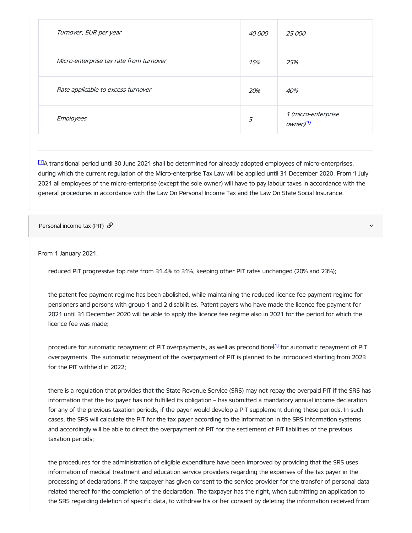| Turnover, EUR per year                  | 40 000 | <i>25 000</i>                               |
|-----------------------------------------|--------|---------------------------------------------|
| Micro-enterprise tax rate from turnover | 15%    | 25%                                         |
| Rate applicable to excess turnover      | 20%    | 40%                                         |
| <b>Employees</b>                        | 5      | 1 (micro-enterprise<br>ownery <sup>11</sup> |

<span id="page-1-1"></span><span id="page-1-0"></span> $11A$  transitional period until 30 June 2021 shall be determined for already adopted employees of micro-enterprises, during which the current regulation of the Micro-enterprise Tax Law will be applied until 31 December 2020. From 1 July 2021 all employees of the micro-enterprise (except the sole owner) will have to pay labour taxes in accordance with the general procedures in accordance with the Law On Personal Income Tax and the Law On State Social Insurance.

Personal income tax (PIT)  $\mathcal{O}$ 

From 1 January 2021:

reduced PIT progressive top rate from 31.4% to 31%, keeping other PIT rates unchanged (20% and 23%);

the patent fee payment regime has been abolished, while maintaining the reduced licence fee payment regime for pensioners and persons with group 1 and 2 disabilities. Patent payers who have made the licence fee payment for 2021 until 31 December 2020 will be able to apply the licence fee regime also in 2021 for the period for which the licence fee was made;

procedure for automatic repayment of PIT overpayments, as well as preconditions 11 for automatic repayment of PIT overpayments. The automatic repayment of the overpayment of PIT is planned to be introduced starting from 2023 for the PIT withheld in 2022;

there is a regulation that provides that the State Revenue Service (SRS) may not repay the overpaid PIT if the SRS has information that the tax payer has not fulfilled its obligation – has submitted a mandatory annual income declaration for any of the previous taxation periods, if the payer would develop a PIT supplement during these periods. In such cases, the SRS will calculate the PIT for the tax payer according to the information in the SRS information systems and accordingly will be able to direct the overpayment of PIT for the settlement of PIT liabilities of the previous taxation periods;

the procedures for the administration of eligible expenditure have been improved by providing that the SRS uses information of medical treatment and education service providers regarding the expenses of the tax payer in the processing of declarations, if the taxpayer has given consent to the service provider for the transfer of personal data related thereof for the completion of the declaration. The taxpayer has the right, when submitting an application to the SRS regarding deletion of specific data, to withdraw his or her consent by deleting the information received from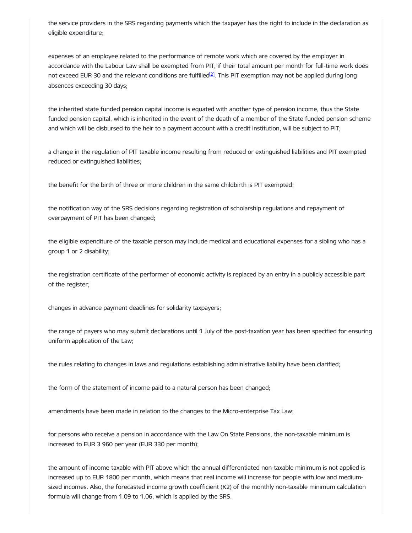the service providers in the SRS regarding payments which the taxpayer has the right to include in the declaration as eligible expenditure;

expenses of an employee related to the performance of remote work which are covered by the employer in accordance with the Labour Law shall be exempted from PIT, if their total amount per month for full-time work does not exceed EUR 30 and the relevant conditions are fulfilled<sup>21</sup>. This PIT exemption may not be applied during long absences exceeding 30 days;

the inherited state funded pension capital income is equated with another type of pension income, thus the State funded pension capital, which is inherited in the event of the death of a member of the State funded pension scheme and which will be disbursed to the heir to a payment account with a credit institution, will be subject to PIT;

a change in the regulation of PIT taxable income resulting from reduced or extinguished liabilities and PIT exempted reduced or extinguished liabilities;

the benefit for the birth of three or more children in the same childbirth is PIT exempted;

the notification way of the SRS decisions regarding registration of scholarship regulations and repayment of overpayment of PIT has been changed;

the eligible expenditure of the taxable person may include medical and educational expenses for a sibling who has a group 1 or 2 disability;

the registration certificate of the performer of economic activity is replaced by an entry in a publicly accessible part of the register;

changes in advance payment deadlines for solidarity taxpayers;

the range of payers who may submit declarations until 1 July of the post-taxation year has been specified for ensuring uniform application of the Law;

the rules relating to changes in laws and regulations establishing administrative liability have been clarified;

the form of the statement of income paid to a natural person has been changed;

amendments have been made in relation to the changes to the Micro-enterprise Tax Law;

for persons who receive a pension in accordance with the Law On State Pensions, the non-taxable minimum is increased to EUR 3 960 per year (EUR 330 per month);

the amount of income taxable with PIT above which the annual differentiated non-taxable minimum is not applied is increased up to EUR 1800 per month, which means that real income will increase for people with low and mediumsized incomes. Also, the forecasted income growth coefficient (K2) of the monthly non-taxable minimum calculation formula will change from 1.09 to 1.06, which is applied by the SRS.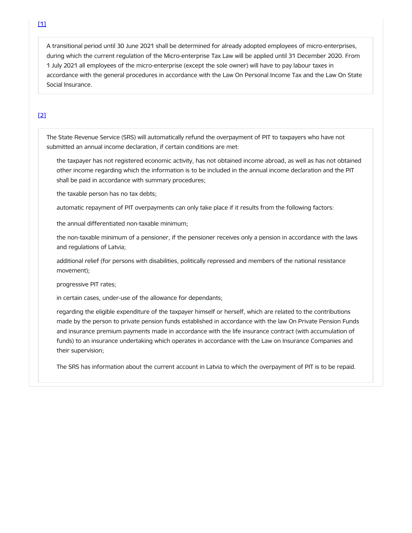A transitional period until 30 June 2021 shall be determined for already adopted employees of micro-enterprises, during which the current regulation of the Micro-enterprise Tax Law will be applied until 31 December 2020. From 1 July 2021 all employees of the micro-enterprise (except the sole owner) will have to pay labour taxes in accordance with the general procedures in accordance with the Law On Personal Income Tax and the Law On State Social Insurance.

# [\[2\]](#page-1-1)

The State Revenue Service (SRS) will automatically refund the overpayment of PIT to taxpayers who have not submitted an annual income declaration, if certain conditions are met:

the taxpayer has not registered economic activity, has not obtained income abroad, as well as has not obtained other income regarding which the information is to be included in the annual income declaration and the PIT shall be paid in accordance with summary procedures;

the taxable person has no tax debts;

automatic repayment of PIT overpayments can only take place if it results from the following factors:

the annual differentiated non-taxable minimum;

the non-taxable minimum of a pensioner, if the pensioner receives only a pension in accordance with the laws and regulations of Latvia;

additional relief (for persons with disabilities, politically repressed and members of the national resistance movement);

progressive PIT rates;

in certain cases, under-use of the allowance for dependants;

regarding the eligible expenditure of the taxpayer himself or herself, which are related to the contributions made by the person to private pension funds established in accordance with the law On Private Pension Funds and insurance premium payments made in accordance with the life insurance contract (with accumulation of funds) to an insurance undertaking which operates in accordance with the Law on Insurance Companies and their supervision;

The SRS has information about the current account in Latvia to which the overpayment of PIT is to be repaid.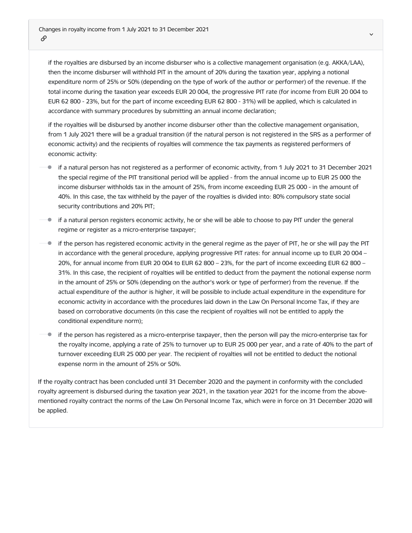if the royalties are disbursed by an income disburser who is a collective management organisation (e.g. AKKA/LAA), then the income disburser will withhold PIT in the amount of 20% during the taxation year, applying a notional expenditure norm of 25% or 50% (depending on the type of work of the author or performer) of the revenue. If the total income during the taxation year exceeds EUR 20 004, the progressive PIT rate (for income from EUR 20 004 to EUR 62 800 - 23%, but for the part of income exceeding EUR 62 800 - 31%) will be applied, which is calculated in accordance with summary procedures by submitting an annual income declaration;

if the royalties will be disbursed by another income disburser other than the collective management organisation, from 1 July 2021 there will be a gradual transition (if the natural person is not registered in the SRS as a performer of economic activity) and the recipients of royalties will commence the tax payments as registered performers of economic activity:

- if a natural person has not registered as a performer of economic activity, from 1 July 2021 to 31 December 2021 the special regime of the PIT transitional period will be applied - from the annual income up to EUR 25 000 the income disburser withholds tax in the amount of 25%, from income exceeding EUR 25 000 - in the amount of 40%. In this case, the tax withheld by the payer of the royalties is divided into: 80% compulsory state social security contributions and 20% PIT;
- if a natural person registers economic activity, he or she will be able to choose to pay PIT under the general regime or register as a micro-enterprise taxpayer;
- if the person has registered economic activity in the general regime as the payer of PIT, he or she will pay the PIT in accordance with the general procedure, applying progressive PIT rates: for annual income up to EUR 20 004 – 20%, for annual income from EUR 20 004 to EUR 62 800 – 23%, for the part of income exceeding EUR 62 800 – 31%. In this case, the recipient of royalties will be entitled to deduct from the payment the notional expense norm in the amount of 25% or 50% (depending on the author's work or type of performer) from the revenue. If the actual expenditure of the author is higher, it will be possible to include actual expenditure in the expenditure for economic activity in accordance with the procedures laid down in the Law On Personal Income Tax, if they are based on corroborative documents (in this case the recipient of royalties will not be entitled to apply the conditional expenditure norm);
- $\bullet$ if the person has registered as a micro-enterprise taxpayer, then the person will pay the micro-enterprise tax for the royalty income, applying a rate of 25% to turnover up to EUR 25 000 per year, and a rate of 40% to the part of turnover exceeding EUR 25 000 per year. The recipient of royalties will not be entitled to deduct the notional expense norm in the amount of 25% or 50%.

If the royalty contract has been concluded until 31 December 2020 and the payment in conformity with the concluded royalty agreement is disbursed during the taxation year 2021, in the taxation year 2021 for the income from the abovementioned royalty contract the norms of the Law On Personal Income Tax, which were in force on 31 December 2020 will be applied.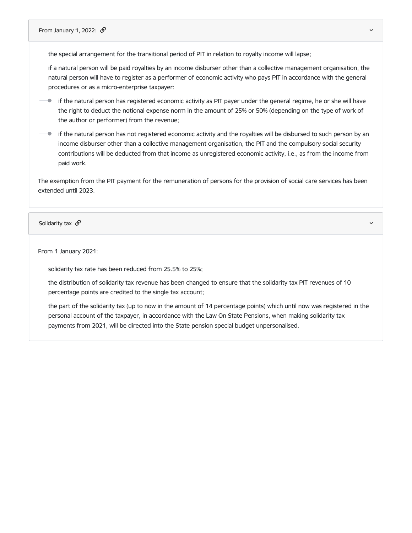the special arrangement for the transitional period of PIT in relation to royalty income will lapse;

if a natural person will be paid royalties by an income disburser other than a collective management organisation, the natural person will have to register as a performer of economic activity who pays PIT in accordance with the general procedures or as a micro-enterprise taxpayer:

- $\bullet$ if the natural person has registered economic activity as PIT payer under the general regime, he or she will have the right to deduct the notional expense norm in the amount of 25% or 50% (depending on the type of work of the author or performer) from the revenue;
- if the natural person has not registered economic activity and the royalties will be disbursed to such person by an income disburser other than a collective management organisation, the PIT and the compulsory social security contributions will be deducted from that income as unregistered economic activity, i.e., as from the income from paid work.

The exemption from the PIT payment for the remuneration of persons for the provision of social care services has been extended until 2023.

Solidarity tax  $\mathscr{D}$  and the set of the set of the set of the set of the set of the set of the set of the set of the set of the set of the set of the set of the set of the set of the set of the set of the set of the se

From 1 January 2021:

solidarity tax rate has been reduced from 25.5% to 25%;

the distribution of solidarity tax revenue has been changed to ensure that the solidarity tax PIT revenues of 10 percentage points are credited to the single tax account;

the part of the solidarity tax (up to now in the amount of 14 percentage points) which until now was registered in the personal account of the taxpayer, in accordance with the Law On State Pensions, when making solidarity tax payments from 2021, will be directed into the State pension special budget unpersonalised.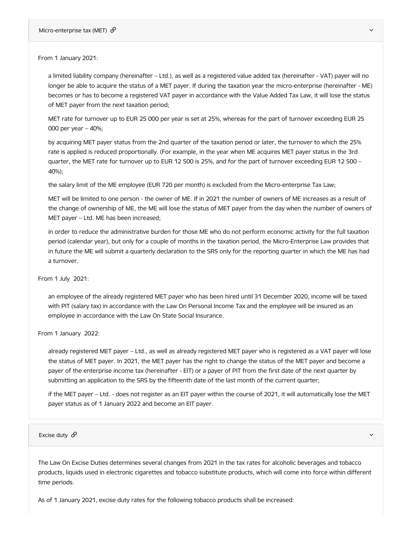a limited liability company (hereinafter – Ltd.), as well as a registered value added tax (hereinafter - VAT) payer will no longer be able to acquire the status of a MET payer. If during the taxation year the micro-enterprise (hereinafter - ME) becomes or has to become a registered VAT payer in accordance with the Value Added Tax Law, it will lose the status of MET payer from the next taxation period;

MET rate for turnover up to EUR 25 000 per year is set at 25%, whereas for the part of turnover exceeding EUR 25 000 per year – 40%;

by acquiring MET payer status from the 2nd quarter of the taxation period or later, the turnover to which the 25% rate is applied is reduced proportionally. (For example, in the year when ME acquires MET payer status in the 3rd quarter, the MET rate for turnover up to EUR 12 500 is 25%, and for the part of turnover exceeding EUR 12 500 – 40%);

the salary limit of the ME employee (EUR 720 per month) is excluded from the Micro-enterprise Tax Law;

MET will be limited to one person - the owner of ME. If in 2021 the number of owners of ME increases as a result of the change of ownership of ME, the ME will lose the status of MET payer from the day when the number of owners of MET payer – Ltd. ME has been increased;

in order to reduce the administrative burden for those ME who do not perform economic activity for the full taxation period (calendar year), but only for a couple of months in the taxation period, the Micro-Enterprise Law provides that in future the ME will submit a quarterly declaration to the SRS only for the reporting quarter in which the ME has had a turnover.

#### From 1 July 2021:

an employee of the already registered MET payer who has been hired until 31 December 2020, income will be taxed with PIT (salary tax) in accordance with the Law On Personal Income Tax and the employee will be insured as an employee in accordance with the Law On State Social Insurance.

#### From 1 January 2022:

already registered MET payer – Ltd., as well as already registered MET payer who is registered as a VAT payer will lose the status of MET payer. In 2021, the MET payer has the right to change the status of the MET payer and become a payer of the enterprise income tax (hereinafter - EIT) or a payer of PIT from the first date of the next quarter by submitting an application to the SRS by the fifteenth date of the last month of the current quarter;

if the MET payer – Ltd. - does not register as an EIT payer within the course of 2021, it will automatically lose the MET payer status as of 1 January 2022 and become an EIT payer.

#### Excise duty  $\mathscr O$  and the contract of the contract of the contract of the contract of the contract of the contract of the contract of the contract of the contract of the contract of the contract of the contract of the co

The Law On Excise Duties determines several changes from 2021 in the tax rates for alcoholic beverages and tobacco products, liquids used in electronic cigarettes and tobacco substitute products, which will come into force within different time periods.

As of 1 January 2021, excise duty rates for the following tobacco products shall be increased: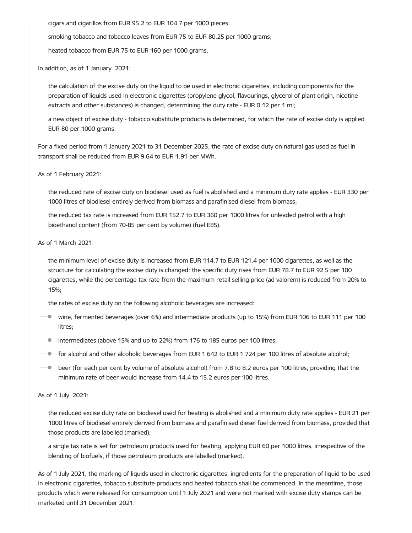cigars and cigarillos from EUR 95.2 to EUR 104.7 per 1000 pieces;

smoking tobacco and tobacco leaves from EUR 75 to EUR 80.25 per 1000 grams;

heated tobacco from EUR 75 to EUR 160 per 1000 grams.

In addition, as of 1 January 2021:

the calculation of the excise duty on the liquid to be used in electronic cigarettes, including components for the preparation of liquids used in electronic cigarettes (propylene glycol, flavourings, glycerol of plant origin, nicotine extracts and other substances) is changed, determining the duty rate - EUR 0.12 per 1 ml;

a new object of excise duty - tobacco substitute products is determined, for which the rate of excise duty is applied EUR 80 per 1000 grams.

For a fixed period from 1 January 2021 to 31 December 2025, the rate of excise duty on natural gas used as fuel in transport shall be reduced from EUR 9.64 to EUR 1.91 per MWh.

As of 1 February 2021:

the reduced rate of excise duty on biodiesel used as fuel is abolished and a minimum duty rate applies - EUR 330 per 1000 litres of biodiesel entirely derived from biomass and parafinised diesel from biomass;

the reduced tax rate is increased from EUR 152.7 to EUR 360 per 1000 litres for unleaded petrol with a high bioethanol content (from 70-85 per cent by volume) (fuel E85).

As of 1 March 2021:

the minimum level of excise duty is increased from EUR 114.7 to EUR 121.4 per 1000 cigarettes, as well as the structure for calculating the excise duty is changed: the specific duty rises from EUR 78.7 to EUR 92.5 per 100 cigarettes, while the percentage tax rate from the maximum retail selling price (ad valorem) is reduced from 20% to 15%;

the rates of excise duty on the following alcoholic beverages are increased:

- wine, fermented beverages (over 6%) and intermediate products (up to 15%) from EUR 106 to EUR 111 per 100 litres;
- **•** intermediates (above 15% and up to 22%) from 176 to 185 euros per 100 litres;
- $\blacksquare$  for alcohol and other alcoholic beverages from EUR 1 642 to EUR 1 724 per 100 litres of absolute alcohol;
- $\blacksquare$  beer (for each per cent by volume of absolute alcohol) from 7.8 to 8.2 euros per 100 litres, providing that the minimum rate of beer would increase from 14.4 to 15.2 euros per 100 litres.

As of 1 July 2021:

the reduced excise duty rate on biodiesel used for heating is abolished and a minimum duty rate applies - EUR 21 per 1000 litres of biodiesel entirely derived from biomass and parafinised diesel fuel derived from biomass, provided that those products are labelled (marked);

a single tax rate is set for petroleum products used for heating, applying EUR 60 per 1000 litres, irrespective of the blending of biofuels, if those petroleum products are labelled (marked).

As of 1 July 2021, the marking of liquids used in electronic cigarettes, ingredients for the preparation of liquid to be used in electronic cigarettes, tobacco substitute products and heated tobacco shall be commenced. In the meantime, those products which were released for consumption until 1 July 2021 and were not marked with excise duty stamps can be marketed until 31 December 2021.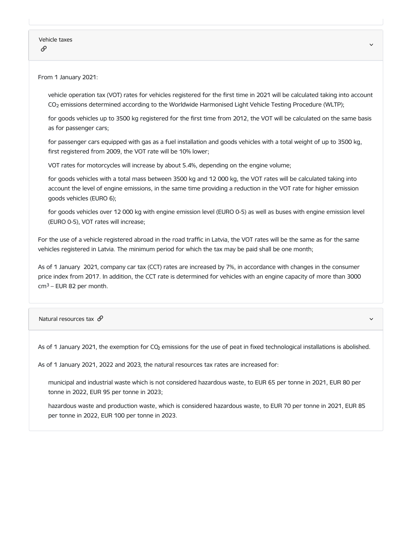vehicle operation tax (VOT) rates for vehicles registered for the first time in 2021 will be calculated taking into account CO<sup>2</sup> emissions determined according to the Worldwide Harmonised Light Vehicle Testing Procedure (WLTP);

for goods vehicles up to 3500 kg registered for the first time from 2012, the VOT will be calculated on the same basis as for passenger cars;

for passenger cars equipped with gas as a fuel installation and goods vehicles with a total weight of up to 3500 kg, first registered from 2009, the VOT rate will be 10% lower;

VOT rates for motorcycles will increase by about 5.4%, depending on the engine volume;

for goods vehicles with a total mass between 3500 kg and 12 000 kg, the VOT rates will be calculated taking into account the level of engine emissions, in the same time providing a reduction in the VOT rate for higher emission goods vehicles (EURO 6);

for goods vehicles over 12 000 kg with engine emission level (EURO 0-5) as well as buses with engine emission level (EURO 0-5), VOT rates will increase;

For the use of a vehicle registered abroad in the road traffic in Latvia, the VOT rates will be the same as for the same vehicles registered in Latvia. The minimum period for which the tax may be paid shall be one month;

As of 1 January 2021, company car tax (CCT) rates are increased by 7%, in accordance with changes in the consumer price index from 2017. In addition, the CCT rate is determined for vehicles with an engine capacity of more than 3000  $cm<sup>3</sup>$  – EUR 82 per month.

Natural resources tax  $\mathscr S$ 

As of 1 January 2021, the exemption for CO $_2$  emissions for the use of peat in fixed technological installations is abolished.

As of 1 January 2021, 2022 and 2023, the natural resources tax rates are increased for:

municipal and industrial waste which is not considered hazardous waste, to EUR 65 per tonne in 2021, EUR 80 per tonne in 2022, EUR 95 per tonne in 2023;

hazardous waste and production waste, which is considered hazardous waste, to EUR 70 per tonne in 2021, EUR 85 per tonne in 2022, EUR 100 per tonne in 2023.

v,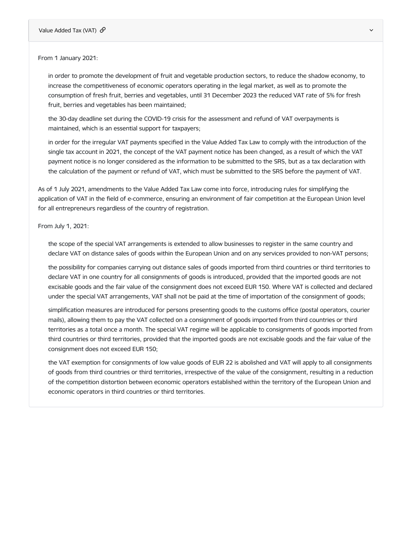in order to promote the development of fruit and vegetable production sectors, to reduce the shadow economy, to increase the competitiveness of economic operators operating in the legal market, as well as to promote the consumption of fresh fruit, berries and vegetables, until 31 December 2023 the reduced VAT rate of 5% for fresh fruit, berries and vegetables has been maintained;

the 30-day deadline set during the COVID-19 crisis for the assessment and refund of VAT overpayments is maintained, which is an essential support for taxpayers;

in order for the irregular VAT payments specified in the Value Added Tax Law to comply with the introduction of the single tax account in 2021, the concept of the VAT payment notice has been changed, as a result of which the VAT payment notice is no longer considered as the information to be submitted to the SRS, but as a tax declaration with the calculation of the payment or refund of VAT, which must be submitted to the SRS before the payment of VAT.

As of 1 July 2021, amendments to the Value Added Tax Law come into force, introducing rules for simplifying the application of VAT in the field of e-commerce, ensuring an environment of fair competition at the European Union level for all entrepreneurs regardless of the country of registration.

# From July 1, 2021:

the scope of the special VAT arrangements is extended to allow businesses to register in the same country and declare VAT on distance sales of goods within the European Union and on any services provided to non-VAT persons;

the possibility for companies carrying out distance sales of goods imported from third countries or third territories to declare VAT in one country for all consignments of goods is introduced, provided that the imported goods are not excisable goods and the fair value of the consignment does not exceed EUR 150. Where VAT is collected and declared under the special VAT arrangements, VAT shall not be paid at the time of importation of the consignment of goods;

simplification measures are introduced for persons presenting goods to the customs office (postal operators, courier mails), allowing them to pay the VAT collected on a consignment of goods imported from third countries or third territories as a total once a month. The special VAT regime will be applicable to consignments of goods imported from third countries or third territories, provided that the imported goods are not excisable goods and the fair value of the consignment does not exceed EUR 150;

the VAT exemption for consignments of low value goods of EUR 22 is abolished and VAT will apply to all consignments of goods from third countries or third territories, irrespective of the value of the consignment, resulting in a reduction of the competition distortion between economic operators established within the territory of the European Union and economic operators in third countries or third territories.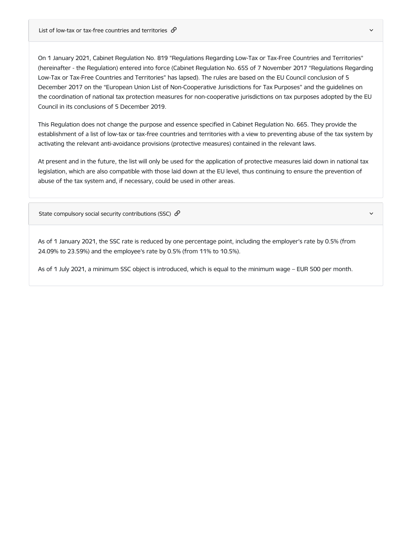List of low-tax or tax-free countries and territories  $\mathcal{S}$ 

On 1 January 2021, Cabinet Regulation No. 819 "Regulations Regarding Low-Tax or Tax-Free Countries and Territories" (hereinafter - the Regulation) entered into force (Cabinet Regulation No. 655 of 7 November 2017 "Regulations Regarding Low-Tax or Tax-Free Countries and Territories" has lapsed). The rules are based on the EU Council conclusion of 5 December 2017 on the "European Union List of Non-Cooperative Jurisdictions for Tax Purposes" and the guidelines on the coordination of national tax protection measures for non-cooperative jurisdictions on tax purposes adopted by the EU Council in its conclusions of 5 December 2019.

This Regulation does not change the purpose and essence specified in Cabinet Regulation No. 665. They provide the establishment of a list of low-tax or tax-free countries and territories with a view to preventing abuse of the tax system by activating the relevant anti-avoidance provisions (protective measures) contained in the relevant laws.

At present and in the future, the list will only be used for the application of protective measures laid down in national tax legislation, which are also compatible with those laid down at the EU level, thus continuing to ensure the prevention of abuse of the tax system and, if necessary, could be used in other areas.

State compulsory social security contributions (SSC)  $\mathcal{S}$ 

As of 1 January 2021, the SSC rate is reduced by one percentage point, including the employer's rate by 0.5% (from 24.09% to 23.59%) and the employee's rate by 0.5% (from 11% to 10.5%).

As of 1 July 2021, a minimum SSC object is introduced, which is equal to the minimum wage – EUR 500 per month.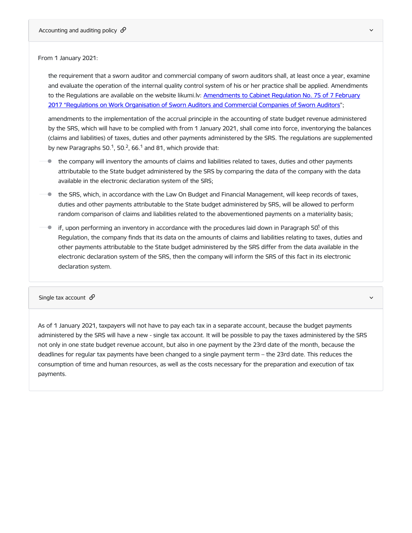the requirement that a sworn auditor and commercial company of sworn auditors shall, at least once a year, examine and evaluate the operation of the internal quality control system of his or her practice shall be applied. Amendments to the Regulations are available on the website likumi.lv: [Amendments](https://likumi.lv/ta/id/316393-grozijumi-ministru-kabineta-2017-gada-7-februara-noteikumos-nr-75-zverinatu-revidentu-un-zverinatu-revidentu-komercsabiedribu-d...) to Cabinet Regulation No. 75 of 7 February 2017 "Regulations on Work Organisation of Sworn Auditors and Commercial Companies of Sworn Auditors";

amendments to the implementation of the accrual principle in the accounting of state budget revenue administered by the SRS, which will have to be complied with from 1 January 2021, shall come into force, inventorying the balances (claims and liabilities) of taxes, duties and other payments administered by the SRS. The regulations are supplemented by new Paragraphs 50.<sup>1</sup>, 50.<sup>2</sup>, 66.<sup>1</sup> and 81, which provide that:

- the company will inventory the amounts of claims and liabilities related to taxes, duties and other payments attributable to the State budget administered by the SRS by comparing the data of the company with the data available in the electronic declaration system of the SRS;
- the SRS, which, in accordance with the Law On Budget and Financial Management, will keep records of taxes, duties and other payments attributable to the State budget administered by SRS, will be allowed to perform random comparison of claims and liabilities related to the abovementioned payments on a materiality basis;
- if, upon performing an inventory in accordance with the procedures laid down in Paragraph 50! of this Regulation, the company finds that its data on the amounts of claims and liabilities relating to taxes, duties and other payments attributable to the State budget administered by the SRS differ from the data available in the electronic declaration system of the SRS, then the company will inform the SRS of this fact in its electronic declaration system.

## Single tax account  $\mathscr P$  and  $\mathscr P$  and  $\mathscr P$  are set of the set of the set of the set of the set of the set of the set of the set of the set of the set of the set of the set of the set of the set of the set of the set

As of 1 January 2021, taxpayers will not have to pay each tax in a separate account, because the budget payments administered by the SRS will have a new - single tax account. It will be possible to pay the taxes administered by the SRS not only in one state budget revenue account, but also in one payment by the 23rd date of the month, because the deadlines for regular tax payments have been changed to a single payment term – the 23rd date. This reduces the consumption of time and human resources, as well as the costs necessary for the preparation and execution of tax payments.